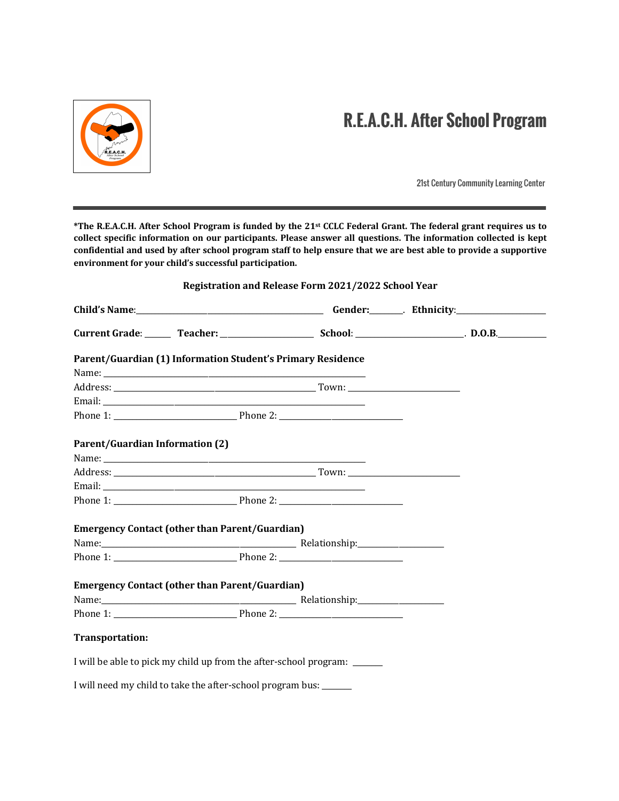

# **R.E.A.C.H. After School Program**

21st Century Community Learning Center

\*The R.E.A.C.H. After School Program is funded by the 21<sup>st</sup> CCLC Federal Grant. The federal grant requires us to collect specific information on our participants. Please answer all questions. The information collected is kept confidential and used by after school program staff to help ensure that we are best able to provide a supportive environment for your child's successful participation.

# **Registration and Release Form 2021/2022 School Year**

| Parent/Guardian (1) Information Student's Primary Residence              |  |  |
|--------------------------------------------------------------------------|--|--|
|                                                                          |  |  |
|                                                                          |  |  |
|                                                                          |  |  |
|                                                                          |  |  |
| <b>Parent/Guardian Information (2)</b>                                   |  |  |
|                                                                          |  |  |
|                                                                          |  |  |
|                                                                          |  |  |
|                                                                          |  |  |
| <b>Emergency Contact (other than Parent/Guardian)</b>                    |  |  |
|                                                                          |  |  |
|                                                                          |  |  |
| <b>Emergency Contact (other than Parent/Guardian)</b>                    |  |  |
|                                                                          |  |  |
|                                                                          |  |  |
| Transportation:                                                          |  |  |
| I will be able to pick my child up from the after-school program: ______ |  |  |
| I will need my child to take the after-school program bus:               |  |  |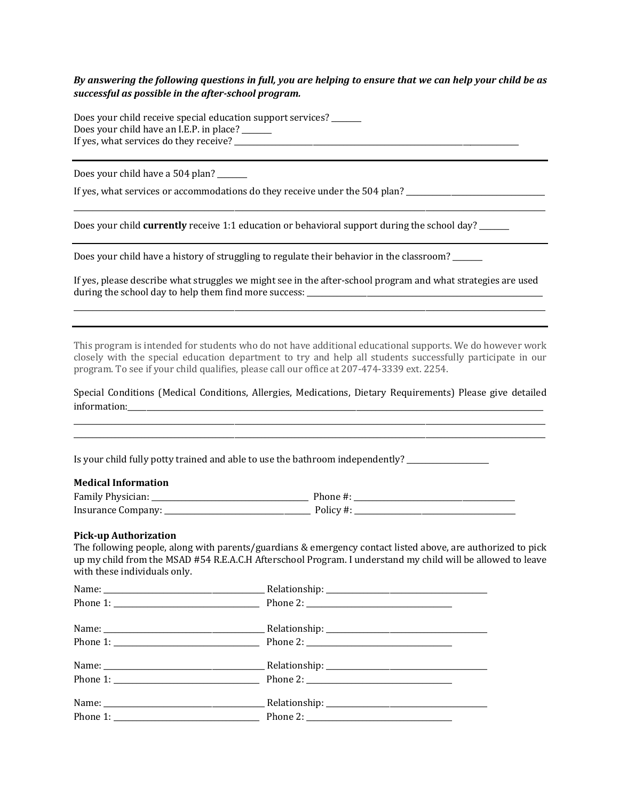# *By* answering the following questions in full, you are helping to ensure that we can help your child be as *successful as possible in the after-school program.*

Does your child receive special education support services? Does your child have an I.E.P. in place? \_\_\_\_\_\_ If yes, what services do they receive? \_\_\_\_\_\_\_\_\_\_\_\_\_\_\_\_\_\_\_\_\_\_\_\_\_\_\_\_\_\_\_\_\_\_\_\_\_\_\_\_\_\_\_\_\_\_\_\_\_\_\_\_\_\_\_\_\_\_\_\_\_\_\_\_\_\_\_\_\_\_\_\_\_\_\_\_

Does your child have a 504 plan?

If yes, what services or accommodations do they receive under the 504 plan? \_\_\_\_\_\_\_\_\_\_\_\_\_\_\_\_\_\_\_\_\_\_\_\_\_\_\_\_\_\_\_\_\_\_

Does your child **currently** receive 1:1 education or behavioral support during the school day?

Does your child have a history of struggling to regulate their behavior in the classroom?

If yes, please describe what struggles we might see in the after-school program and what strategies are used during the school day to help them find more success: \_\_\_\_\_\_\_\_\_\_\_\_\_\_\_\_\_\_\_\_\_\_\_\_\_\_\_

\_\_\_\_\_\_\_\_\_\_\_\_\_\_\_\_\_\_\_\_\_\_\_\_\_\_\_\_\_\_\_\_\_\_\_\_\_\_\_\_\_\_\_\_\_\_\_\_\_\_\_\_\_\_\_\_\_\_\_\_\_\_\_\_\_\_\_\_\_\_\_\_\_\_\_\_\_\_\_\_\_\_\_\_\_\_\_\_\_\_\_\_\_\_\_\_\_\_\_\_\_\_\_\_\_\_\_\_\_\_\_\_\_\_\_\_\_\_\_\_\_\_\_\_\_\_

\_\_\_\_\_\_\_\_\_\_\_\_\_\_\_\_\_\_\_\_\_\_\_\_\_\_\_\_\_\_\_\_\_\_\_\_\_\_\_\_\_\_\_\_\_\_\_\_\_\_\_\_\_\_\_\_\_\_\_\_\_\_\_\_\_\_\_\_\_\_\_\_\_\_\_\_\_\_\_\_\_\_\_\_\_\_\_\_\_\_\_\_\_\_\_\_\_\_\_\_\_\_\_\_\_\_\_\_\_\_\_\_\_\_\_\_\_\_\_\_\_\_\_\_\_\_

This program is intended for students who do not have additional educational supports. We do however work closely with the special education department to try and help all students successfully participate in our program. To see if your child qualifies, please call our office at 207-474-3339 ext. 2254.

Special Conditions (Medical Conditions, Allergies, Medications, Dietary Requirements) Please give detailed information:\_\_\_\_\_\_\_\_\_\_\_\_\_\_\_\_\_\_\_\_\_\_\_\_\_\_\_\_\_\_\_\_\_\_\_\_\_\_\_\_\_\_\_\_\_\_\_\_\_\_\_\_\_\_\_\_\_\_\_\_\_\_\_\_\_\_\_\_\_\_\_\_\_\_\_\_\_\_\_\_\_\_\_\_\_\_\_\_\_\_\_\_\_\_\_\_\_\_\_\_\_\_\_\_\_\_\_\_\_\_\_

\_\_\_\_\_\_\_\_\_\_\_\_\_\_\_\_\_\_\_\_\_\_\_\_\_\_\_\_\_\_\_\_\_\_\_\_\_\_\_\_\_\_\_\_\_\_\_\_\_\_\_\_\_\_\_\_\_\_\_\_\_\_\_\_\_\_\_\_\_\_\_\_\_\_\_\_\_\_\_\_\_\_\_\_\_\_\_\_\_\_\_\_\_\_\_\_\_\_\_\_\_\_\_\_\_\_\_\_\_\_\_\_\_\_\_\_\_\_\_\_\_\_\_\_\_\_ \_\_\_\_\_\_\_\_\_\_\_\_\_\_\_\_\_\_\_\_\_\_\_\_\_\_\_\_\_\_\_\_\_\_\_\_\_\_\_\_\_\_\_\_\_\_\_\_\_\_\_\_\_\_\_\_\_\_\_\_\_\_\_\_\_\_\_\_\_\_\_\_\_\_\_\_\_\_\_\_\_\_\_\_\_\_\_\_\_\_\_\_\_\_\_\_\_\_\_\_\_\_\_\_\_\_\_\_\_\_\_\_\_\_\_\_\_\_\_\_\_\_\_\_\_\_

Is your child fully potty trained and able to use the bathroom independently?

### **Medical Information**

| $\mathbf{r}$<br>H∩r"<br>. |            |
|---------------------------|------------|
|                           | $\ddotsc$  |
| ___________               | __________ |

#### **Pick-up Authorization**

The following people, along with parents/guardians  $&$  emergency contact listed above, are authorized to pick up my child from the MSAD #54 R.E.A.C.H Afterschool Program. I understand my child will be allowed to leave with these individuals only.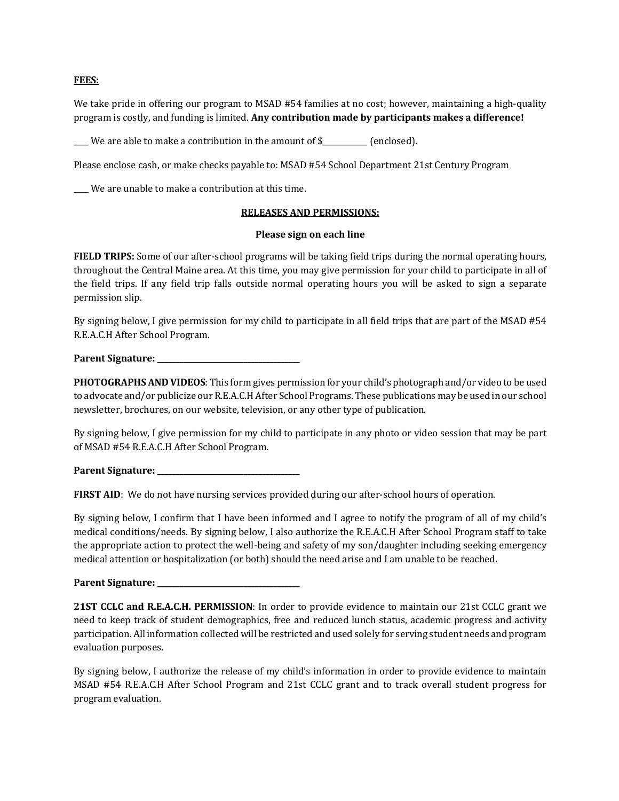## **FEES:**

We take pride in offering our program to MSAD #54 families at no cost; however, maintaining a high-quality program is costly, and funding is limited. Any contribution made by participants makes a difference!

\_\_\_We are able to make a contribution in the amount of \$\_\_\_\_\_\_\_\_\_ (enclosed).

Please enclose cash, or make checks payable to: MSAD #54 School Department 21st Century Program

\_\_\_\_ We are unable to make a contribution at this time.

## **RELEASES AND PERMISSIONS:**

### **Please sign on each line**

**FIELD TRIPS:** Some of our after-school programs will be taking field trips during the normal operating hours, throughout the Central Maine area. At this time, you may give permission for your child to participate in all of the field trips. If any field trip falls outside normal operating hours you will be asked to sign a separate permission slip.

By signing below, I give permission for my child to participate in all field trips that are part of the MSAD #54 R.E.A.C.H After School Program.

**Parent Signature:** 

**PHOTOGRAPHS AND VIDEOS:** This form gives permission for your child's photograph and/or video to be used to advocate and/or publicize our R.E.A.C.H After School Programs. These publications may be used in our school newsletter, brochures, on our website, television, or any other type of publication.

By signing below, I give permission for my child to participate in any photo or video session that may be part of MSAD #54 R.E.A.C.H After School Program.

**Parent Signature:** 

**FIRST AID:** We do not have nursing services provided during our after-school hours of operation.

By signing below, I confirm that I have been informed and I agree to notify the program of all of my child's medical conditions/needs. By signing below, I also authorize the R.E.A.C.H After School Program staff to take the appropriate action to protect the well-being and safety of my son/daughter including seeking emergency medical attention or hospitalization (or both) should the need arise and I am unable to be reached.

**Parent Signature: \_\_\_\_\_\_\_\_\_\_\_\_\_\_\_\_\_\_\_\_\_\_\_\_\_\_\_\_\_\_\_\_\_\_\_\_\_\_**

**21ST CCLC and R.E.A.C.H. PERMISSION**: In order to provide evidence to maintain our 21st CCLC grant we need to keep track of student demographics, free and reduced lunch status, academic progress and activity participation. All information collected will be restricted and used solely for serving student needs and program evaluation purposes.

By signing below, I authorize the release of my child's information in order to provide evidence to maintain MSAD #54 R.E.A.C.H After School Program and 21st CCLC grant and to track overall student progress for program evaluation.